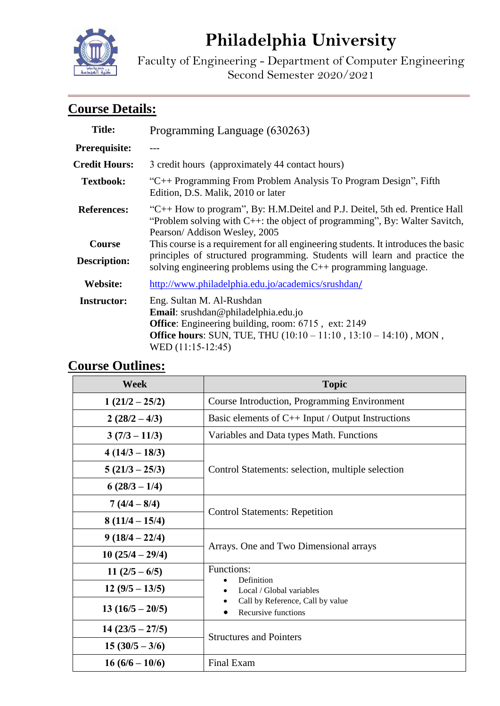

# **Philadelphia University**

Faculty of Engineering - Department of Computer Engineering Second Semester 2020/2021

# **Course Details:**

| <b>Title:</b>                        | Programming Language (630263)                                                                                                                                                                                                             |  |  |
|--------------------------------------|-------------------------------------------------------------------------------------------------------------------------------------------------------------------------------------------------------------------------------------------|--|--|
| <b>Prerequisite:</b>                 |                                                                                                                                                                                                                                           |  |  |
| <b>Credit Hours:</b>                 | 3 credit hours (approximately 44 contact hours)                                                                                                                                                                                           |  |  |
| <b>Textbook:</b>                     | "C++ Programming From Problem Analysis To Program Design", Fifth<br>Edition, D.S. Malik, 2010 or later                                                                                                                                    |  |  |
| <b>References:</b>                   | "C++ How to program", By: H.M.Deitel and P.J. Deitel, 5th ed. Prentice Hall<br>"Problem solving with C++: the object of programming", By: Walter Savitch,<br>Pearson/ Addison Wesley, 2005                                                |  |  |
| <b>Course</b><br><b>Description:</b> | This course is a requirement for all engineering students. It introduces the basic<br>principles of structured programming. Students will learn and practice the<br>solving engineering problems using the $C_{++}$ programming language. |  |  |
| <b>Website:</b>                      | http://www.philadelphia.edu.jo/academics/srushdan/                                                                                                                                                                                        |  |  |
| <b>Instructor:</b>                   | Eng. Sultan M. Al-Rushdan<br><b>Email</b> : srushdan@philadelphia.edu.jo<br><b>Office:</b> Engineering building, room: 6715, ext: 2149<br><b>Office hours:</b> SUN, TUE, THU (10:10 – 11:10, 13:10 – 14:10), MON,<br>WED $(11:15-12:45)$  |  |  |

## **Course Outlines:**

| <b>Week</b>       | <b>Topic</b>                                                                                      |  |
|-------------------|---------------------------------------------------------------------------------------------------|--|
| $1(21/2 - 25/2)$  | Course Introduction, Programming Environment                                                      |  |
| $2(28/2-4/3)$     | Basic elements of $C_{++}$ Input / Output Instructions                                            |  |
| $3(7/3-11/3)$     | Variables and Data types Math. Functions                                                          |  |
| $4(14/3 - 18/3)$  |                                                                                                   |  |
| $5(21/3 - 25/3)$  | Control Statements: selection, multiple selection                                                 |  |
| $6(28/3-1/4)$     |                                                                                                   |  |
| $7(4/4-8/4)$      |                                                                                                   |  |
| $8(11/4 - 15/4)$  | <b>Control Statements: Repetition</b>                                                             |  |
| $9(18/4-22/4)$    |                                                                                                   |  |
| $10(25/4-29/4)$   | Arrays. One and Two Dimensional arrays                                                            |  |
| $11(2/5-6/5)$     | Functions:                                                                                        |  |
| $12(9/5-13/5)$    | Definition<br>Local / Global variables<br>Call by Reference, Call by value<br>Recursive functions |  |
| $13(16/5-20/5)$   |                                                                                                   |  |
| $14(23/5 - 27/5)$ | <b>Structures and Pointers</b>                                                                    |  |
| $15(30/5-3/6)$    |                                                                                                   |  |
| $16(6/6-10/6)$    | Final Exam                                                                                        |  |